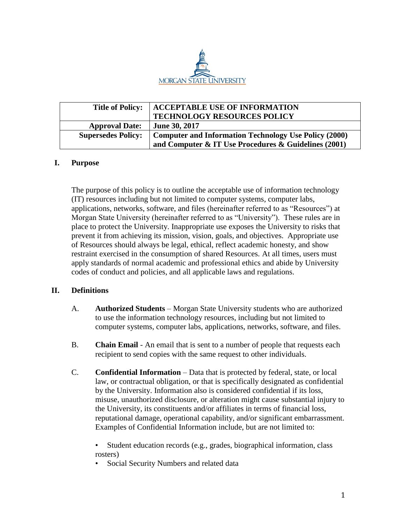

| <b>Title of Policy:</b>   | <b>ACCEPTABLE USE OF INFORMATION</b><br><b>TECHNOLOGY RESOURCES POLICY</b> |
|---------------------------|----------------------------------------------------------------------------|
| <b>Approval Date:</b>     | <b>June 30, 2017</b>                                                       |
| <b>Supersedes Policy:</b> | <b>Computer and Information Technology Use Policy (2000)</b>               |
|                           | and Computer & IT Use Procedures & Guidelines (2001)                       |

# **I. Purpose**

The purpose of this policy is to outline the acceptable use of information technology (IT) resources including but not limited to computer systems, computer labs, applications, networks, software, and files (hereinafter referred to as "Resources") at Morgan State University (hereinafter referred to as "University"). These rules are in place to protect the University. Inappropriate use exposes the University to risks that prevent it from achieving its mission, vision, goals, and objectives. Appropriate use of Resources should always be legal, ethical, reflect academic honesty, and show restraint exercised in the consumption of shared Resources. At all times, users must apply standards of normal academic and professional ethics and abide by University codes of conduct and policies, and all applicable laws and regulations.

## **II. Definitions**

- A. **Authorized Students** Morgan State University students who are authorized to use the information technology resources, including but not limited to computer systems, computer labs, applications, networks, software, and files.
- B. **Chain Email** An email that is sent to a number of people that requests each recipient to send copies with the same request to other individuals.
- C. **Confidential Information** Data that is protected by federal, state, or local law, or contractual obligation, or that is specifically designated as confidential by the University. Information also is considered confidential if its loss, misuse, unauthorized disclosure, or alteration might cause substantial injury to the University, its constituents and/or affiliates in terms of financial loss, reputational damage, operational capability, and/or significant embarrassment. Examples of Confidential Information include, but are not limited to:

• Student education records (e.g., grades, biographical information, class rosters)

Social Security Numbers and related data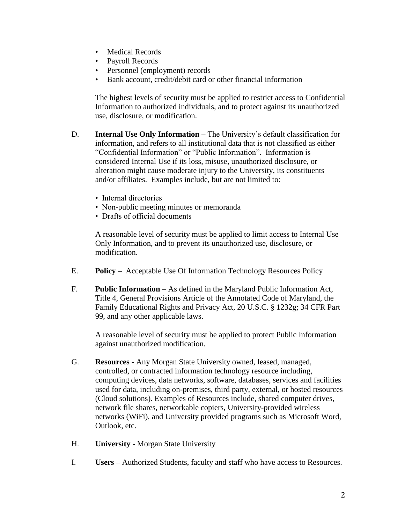- Medical Records
- Payroll Records
- Personnel (employment) records
- Bank account, credit/debit card or other financial information

The highest levels of security must be applied to restrict access to Confidential Information to authorized individuals, and to protect against its unauthorized use, disclosure, or modification.

- D. **Internal Use Only Information** The University's default classification for information, and refers to all institutional data that is not classified as either "Confidential Information" or "Public Information". Information is considered Internal Use if its loss, misuse, unauthorized disclosure, or alteration might cause moderate injury to the University, its constituents and/or affiliates. Examples include, but are not limited to:
	- Internal directories
	- Non-public meeting minutes or memoranda
	- Drafts of official documents

A reasonable level of security must be applied to limit access to Internal Use Only Information, and to prevent its unauthorized use, disclosure, or modification.

- E. **Policy** Acceptable Use Of Information Technology Resources Policy
- F. **Public Information** As defined in the Maryland Public Information Act, Title 4, General Provisions Article of the Annotated Code of Maryland, the Family Educational Rights and Privacy Act, 20 U.S.C. § 1232g; 34 CFR Part 99, and any other applicable laws.

A reasonable level of security must be applied to protect Public Information against unauthorized modification.

- G. **Resources** Any Morgan State University owned, leased, managed, controlled, or contracted information technology resource including, computing devices, data networks, software, databases, services and facilities used for data, including on-premises, third party, external, or hosted resources (Cloud solutions). Examples of Resources include, shared computer drives, network file shares, networkable copiers, University-provided wireless networks (WiFi), and University provided programs such as Microsoft Word, Outlook, etc.
- H. **University** Morgan State University
- I. **Users –** Authorized Students, faculty and staff who have access to Resources.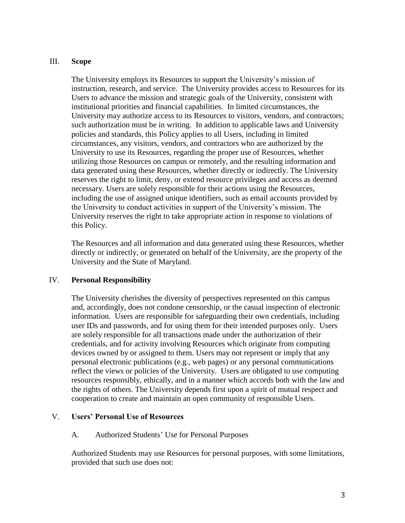## III. **Scope**

The University employs its Resources to support the University's mission of instruction, research, and service. The University provides access to Resources for its Users to advance the mission and strategic goals of the University, consistent with institutional priorities and financial capabilities. In limited circumstances, the University may authorize access to its Resources to visitors, vendors, and contractors; such authorization must be in writing. In addition to applicable laws and University policies and standards, this Policy applies to all Users, including in limited circumstances, any visitors, vendors, and contractors who are authorized by the University to use its Resources, regarding the proper use of Resources, whether utilizing those Resources on campus or remotely, and the resulting information and data generated using these Resources, whether directly or indirectly. The University reserves the right to limit, deny, or extend resource privileges and access as deemed necessary. Users are solely responsible for their actions using the Resources, including the use of assigned unique identifiers, such as email accounts provided by the University to conduct activities in support of the University's mission. The University reserves the right to take appropriate action in response to violations of this Policy.

The Resources and all information and data generated using these Resources, whether directly or indirectly, or generated on behalf of the University, are the property of the University and the State of Maryland.

## IV. **Personal Responsibility**

The University cherishes the diversity of perspectives represented on this campus and, accordingly, does not condone censorship, or the casual inspection of electronic information. Users are responsible for safeguarding their own credentials, including user IDs and passwords, and for using them for their intended purposes only. Users are solely responsible for all transactions made under the authorization of their credentials, and for activity involving Resources which originate from computing devices owned by or assigned to them. Users may not represent or imply that any personal electronic publications (e.g., web pages) or any personal communications reflect the views or policies of the University. Users are obligated to use computing resources responsibly, ethically, and in a manner which accords both with the law and the rights of others. The University depends first upon a spirit of mutual respect and cooperation to create and maintain an open community of responsible Users.

#### V. **Users' Personal Use of Resources**

#### A. Authorized Students' Use for Personal Purposes

Authorized Students may use Resources for personal purposes, with some limitations, provided that such use does not: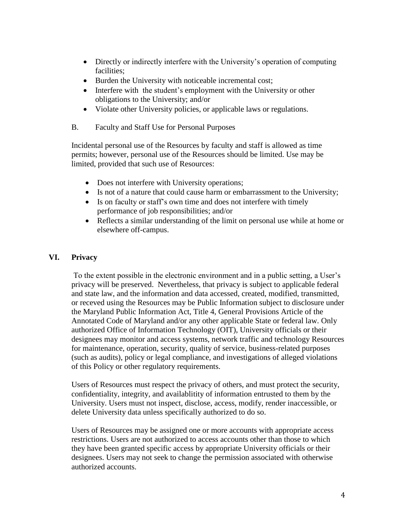- Directly or indirectly interfere with the University's operation of computing facilities;
- Burden the University with noticeable incremental cost;
- Interfere with the student's employment with the University or other obligations to the University; and/or
- Violate other University policies, or applicable laws or regulations.
- B. Faculty and Staff Use for Personal Purposes

Incidental personal use of the Resources by faculty and staff is allowed as time permits; however, personal use of the Resources should be limited. Use may be limited, provided that such use of Resources:

- Does not interfere with University operations;
- Is not of a nature that could cause harm or embarrassment to the University;
- Is on faculty or staff's own time and does not interfere with timely performance of job responsibilities; and/or
- Reflects a similar understanding of the limit on personal use while at home or elsewhere off-campus.

## **VI. Privacy**

To the extent possible in the electronic environment and in a public setting, a User's privacy will be preserved. Nevertheless, that privacy is subject to applicable federal and state law, and the information and data accessed, created, modified, transmitted, or receved using the Resources may be Public Information subject to disclosure under the Maryland Public Information Act, Title 4, General Provisions Article of the Annotated Code of Maryland and/or any other applicable State or federal law. Only authorized Office of Information Technology (OIT), University officials or their designees may monitor and access systems, network traffic and technology Resources for maintenance, operation, security, quality of service, business-related purposes (such as audits), policy or legal compliance, and investigations of alleged violations of this Policy or other regulatory requirements.

Users of Resources must respect the privacy of others, and must protect the security, confidentiality, integrity, and availablitity of information entrusted to them by the University. Users must not inspect, disclose, access, modify, render inaccessible, or delete University data unless specifically authorized to do so.

Users of Resources may be assigned one or more accounts with appropriate access restrictions. Users are not authorized to access accounts other than those to which they have been granted specific access by appropriate University officials or their designees. Users may not seek to change the permission associated with otherwise authorized accounts.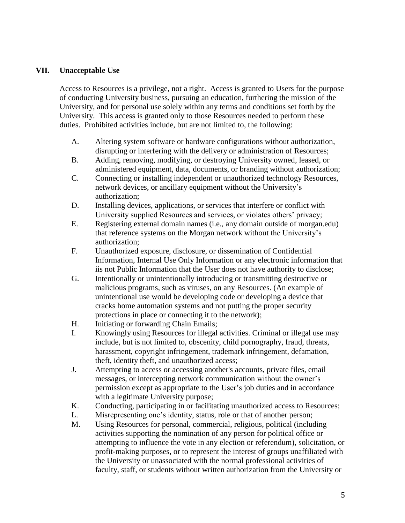## **VII. Unacceptable Use**

Access to Resources is a privilege, not a right. Access is granted to Users for the purpose of conducting University business, pursuing an education, furthering the mission of the University, and for personal use solely within any terms and conditions set forth by the University. This access is granted only to those Resources needed to perform these duties. Prohibited activities include, but are not limited to, the following:

- A. Altering system software or hardware configurations without authorization, disrupting or interfering with the delivery or administration of Resources;
- B. Adding, removing, modifying, or destroying University owned, leased, or administered equipment, data, documents, or branding without authorization;
- C. Connecting or installing independent or unauthorized technology Resources, network devices, or ancillary equipment without the University's authorization;
- D. Installing devices, applications, or services that interfere or conflict with University supplied Resources and services, or violates others' privacy;
- E. Registering external domain names (i.e., any domain outside of morgan.edu) that reference systems on the Morgan network without the University's authorization;
- F. Unauthorized exposure, disclosure, or dissemination of Confidential Information, Internal Use Only Information or any electronic information that iis not Public Information that the User does not have authority to disclose;
- G. Intentionally or unintentionally introducing or transmitting destructive or malicious programs, such as viruses, on any Resources. (An example of unintentional use would be developing code or developing a device that cracks home automation systems and not putting the proper security protections in place or connecting it to the network);
- H. Initiating or forwarding Chain Emails;
- I. Knowingly using Resources for illegal activities. Criminal or illegal use may include, but is not limited to, obscenity, child pornography, fraud, threats, harassment, copyright infringement, trademark infringement, defamation, theft, identity theft, and unauthorized access;
- J. Attempting to access or accessing another's accounts, private files, email messages, or intercepting network communication without the owner's permission except as appropriate to the User's job duties and in accordance with a legitimate University purpose;
- K. Conducting, participating in or facilitating unauthorized access to Resources;
- L. Misrepresenting one's identity, status, role or that of another person;
- M. Using Resources for personal, commercial, religious, political (including activities supporting the nomination of any person for political office or attempting to influence the vote in any election or referendum), solicitation, or profit-making purposes, or to represent the interest of groups unaffiliated with the University or unassociated with the normal professional activities of faculty, staff, or students without written authorization from the University or